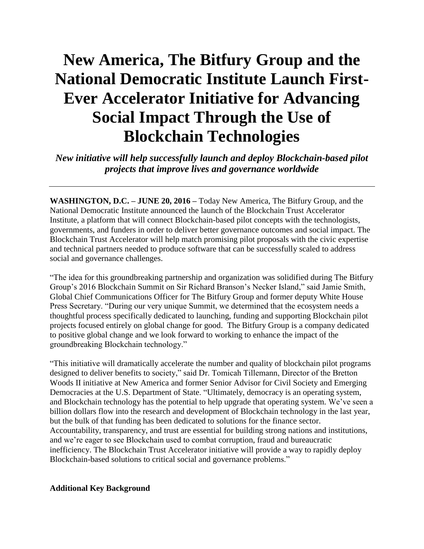# **New America, The Bitfury Group and the National Democratic Institute Launch First-Ever Accelerator Initiative for Advancing Social Impact Through the Use of Blockchain Technologies**

*New initiative will help successfully launch and deploy Blockchain-based pilot projects that improve lives and governance worldwide*

**WASHINGTON, D.C. – JUNE 20, 2016 –** Today New America, The Bitfury Group, and the National Democratic Institute announced the launch of the Blockchain Trust Accelerator Institute, a platform that will connect Blockchain-based pilot concepts with the technologists, governments, and funders in order to deliver better governance outcomes and social impact. The Blockchain Trust Accelerator will help match promising pilot proposals with the civic expertise and technical partners needed to produce software that can be successfully scaled to address social and governance challenges.

"The idea for this groundbreaking partnership and organization was solidified during The Bitfury Group's 2016 Blockchain Summit on Sir Richard Branson's Necker Island," said Jamie Smith, Global Chief Communications Officer for The Bitfury Group and former deputy White House Press Secretary. "During our very unique Summit, we determined that the ecosystem needs a thoughtful process specifically dedicated to launching, funding and supporting Blockchain pilot projects focused entirely on global change for good. The Bitfury Group is a company dedicated to positive global change and we look forward to working to enhance the impact of the groundbreaking Blockchain technology."

"This initiative will dramatically accelerate the number and quality of blockchain pilot programs designed to deliver benefits to society," said Dr. Tomicah Tillemann, Director of the Bretton Woods II initiative at New America and former Senior Advisor for Civil Society and Emerging Democracies at the U.S. Department of State. "Ultimately, democracy is an operating system, and Blockchain technology has the potential to help upgrade that operating system. We've seen a billion dollars flow into the research and development of Blockchain technology in the last year, but the bulk of that funding has been dedicated to solutions for the finance sector. Accountability, transparency, and trust are essential for building strong nations and institutions, and we're eager to see Blockchain used to combat corruption, fraud and bureaucratic inefficiency. The Blockchain Trust Accelerator initiative will provide a way to rapidly deploy Blockchain-based solutions to critical social and governance problems."

#### **Additional Key Background**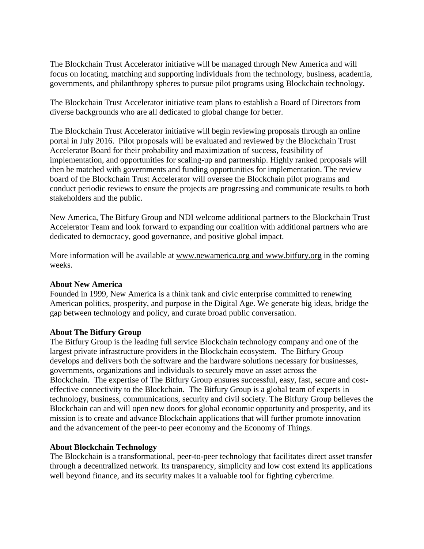The Blockchain Trust Accelerator initiative will be managed through New America and will focus on locating, matching and supporting individuals from the technology, business, academia, governments, and philanthropy spheres to pursue pilot programs using Blockchain technology.

The Blockchain Trust Accelerator initiative team plans to establish a Board of Directors from diverse backgrounds who are all dedicated to global change for better.

The Blockchain Trust Accelerator initiative will begin reviewing proposals through an online portal in July 2016. Pilot proposals will be evaluated and reviewed by the Blockchain Trust Accelerator Board for their probability and maximization of success, feasibility of implementation, and opportunities for scaling-up and partnership. Highly ranked proposals will then be matched with governments and funding opportunities for implementation. The review board of the Blockchain Trust Accelerator will oversee the Blockchain pilot programs and conduct periodic reviews to ensure the projects are progressing and communicate results to both stakeholders and the public.

New America, The Bitfury Group and NDI welcome additional partners to the Blockchain Trust Accelerator Team and look forward to expanding our coalition with additional partners who are dedicated to democracy, good governance, and positive global impact.

More information will be available at [www.newamerica.org](http://www.newamerica.org/) and www.bitfury.org in the coming weeks.

### **About New America**

Founded in 1999, New America is a think tank and civic enterprise committed to renewing American politics, prosperity, and purpose in the Digital Age. We generate big ideas, bridge the gap between technology and policy, and curate broad public conversation.

### **About The Bitfury Group**

The Bitfury Group is the leading full service Blockchain technology company and one of the largest private infrastructure providers in the Blockchain ecosystem. The Bitfury Group develops and delivers both the software and the hardware solutions necessary for businesses, governments, organizations and individuals to securely move an asset across the Blockchain. The expertise of The Bitfury Group ensures successful, easy, fast, secure and costeffective connectivity to the Blockchain. The Bitfury Group is a global team of experts in technology, business, communications, security and civil society. The Bitfury Group believes the Blockchain can and will open new doors for global economic opportunity and prosperity, and its mission is to create and advance Blockchain applications that will further promote innovation and the advancement of the peer-to peer economy and the Economy of Things.

### **About Blockchain Technology**

The Blockchain is a transformational, peer-to-peer technology that facilitates direct asset transfer through a decentralized network. Its transparency, simplicity and low cost extend its applications well beyond finance, and its security makes it a valuable tool for fighting cybercrime.